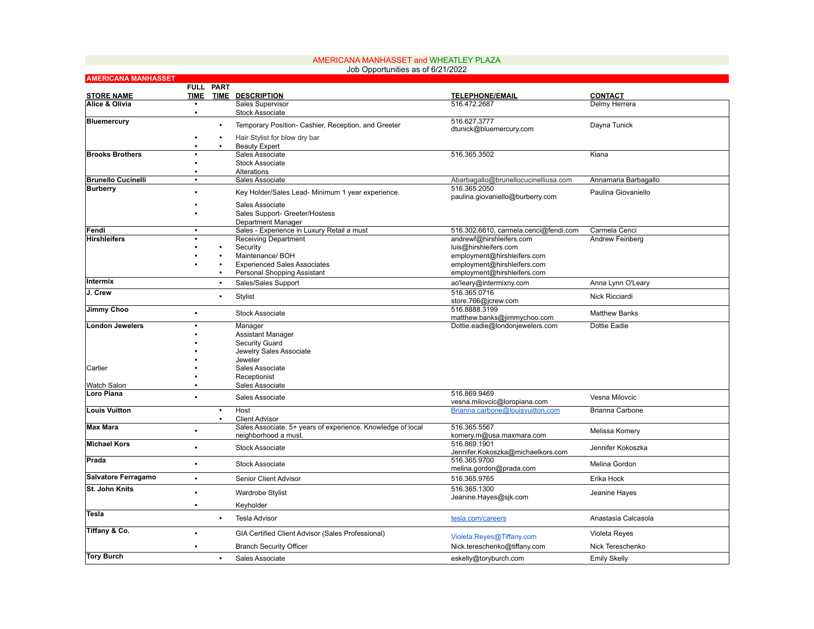| Job Opportunities as of 6/21/2022   |                          |           |                                                             |                                                      |                                 |  |  |
|-------------------------------------|--------------------------|-----------|-------------------------------------------------------------|------------------------------------------------------|---------------------------------|--|--|
| <b>AMERICANA MANHASSET</b>          |                          |           |                                                             |                                                      |                                 |  |  |
|                                     |                          | FULL PART |                                                             |                                                      |                                 |  |  |
| <b>STORE NAME</b><br>Alice & Olivia | <b>TIME</b><br>$\bullet$ |           | <b>TIME DESCRIPTION</b><br>Sales Supervisor                 | <b>TELEPHONE/EMAIL</b><br>516.472.2687               | <b>CONTACT</b><br>Delmy Herrera |  |  |
|                                     |                          |           | <b>Stock Associate</b>                                      |                                                      |                                 |  |  |
| <b>Bluemercury</b>                  |                          |           |                                                             | 516.627.3777                                         |                                 |  |  |
|                                     |                          | $\bullet$ | Temporary Position- Cashier, Reception, and Greeter         | dtunick@bluemercury.com                              | Dayna Tunick                    |  |  |
|                                     |                          | $\bullet$ | Hair Stylist for blow dry bar                               |                                                      |                                 |  |  |
|                                     |                          |           | <b>Beauty Expert</b>                                        |                                                      |                                 |  |  |
| <b>Brooks Brothers</b>              |                          |           | Sales Associate                                             | 516.365.3502                                         | Kiana                           |  |  |
|                                     |                          |           | <b>Stock Associate</b>                                      |                                                      |                                 |  |  |
| <b>Brunello Cucinelli</b>           | $\bullet$                |           | Alterations<br>Sales Associate                              |                                                      |                                 |  |  |
| <b>Burberry</b>                     |                          |           |                                                             | Abarbagallo@brunellocucinelliusa.com<br>516.365.2050 | Annamaria Barbagallo            |  |  |
|                                     |                          |           | Key Holder/Sales Lead- Minimum 1 year experience.           | paulina.giovaniello@burberry.com                     | Paulina Giovaniello             |  |  |
|                                     |                          |           | Sales Associate                                             |                                                      |                                 |  |  |
|                                     |                          |           | Sales Support- Greeter/Hostess                              |                                                      |                                 |  |  |
|                                     |                          |           | Department Manager                                          |                                                      |                                 |  |  |
| Fendi                               | $\bullet$                |           | Sales - Experience in Luxury Retail a must                  | 516.302.6610, carmela.cenci@fendi.com                | Carmela Cenci                   |  |  |
| <b>Hirshleifers</b>                 |                          |           | <b>Receiving Department</b>                                 | andrewf@hirshleifers.com                             | Andrew Feinberg                 |  |  |
|                                     |                          |           | Security                                                    | luis@hirshleifers.com                                |                                 |  |  |
|                                     |                          |           | Maintenance/ BOH                                            | employment@hirshleifers.com                          |                                 |  |  |
|                                     |                          | $\bullet$ | <b>Experienced Sales Associates</b>                         | employment@hirshleifers.com                          |                                 |  |  |
|                                     |                          |           | Personal Shopping Assistant                                 | employment@hirshleifers.com                          |                                 |  |  |
| Intermix                            |                          | $\bullet$ | Sales/Sales Support                                         | ao'leary@intermixny.com                              | Anna Lynn O'Leary               |  |  |
| J. Crew                             |                          | $\bullet$ | Stylist                                                     | 516.365.0716                                         | <b>Nick Ricciardi</b>           |  |  |
|                                     |                          |           |                                                             | store.766@jcrew.com                                  |                                 |  |  |
| Jimmy Choo                          |                          |           | <b>Stock Associate</b>                                      | 516.8888.3199                                        | <b>Matthew Banks</b>            |  |  |
|                                     |                          |           |                                                             | matthew.banks@jimmychoo.com                          |                                 |  |  |
| <b>London Jewelers</b>              |                          |           | Manager                                                     | Dottie.eadie@londonjewelers.com                      | Dottie Eadie                    |  |  |
|                                     |                          |           | <b>Assistant Manager</b>                                    |                                                      |                                 |  |  |
|                                     |                          |           | Security Guard<br>Jewelry Sales Associate                   |                                                      |                                 |  |  |
|                                     |                          |           | Jeweler                                                     |                                                      |                                 |  |  |
| Cartier                             |                          |           | Sales Associate                                             |                                                      |                                 |  |  |
|                                     |                          |           | Receptionist                                                |                                                      |                                 |  |  |
| Watch Salon                         |                          |           | Sales Associate                                             |                                                      |                                 |  |  |
| Loro Piana                          |                          |           |                                                             | 516.869.9469                                         |                                 |  |  |
|                                     |                          |           | Sales Associate                                             | vesna.milovcic@loropiana.com                         | Vesna Milovcic                  |  |  |
| <b>Louis Vuitton</b>                |                          | $\bullet$ | Host                                                        | Brianna.carbone@louisvuitton.com                     | <b>Brianna Carbone</b>          |  |  |
|                                     |                          | $\bullet$ | <b>Client Advisor</b>                                       |                                                      |                                 |  |  |
| <b>Max Mara</b>                     |                          |           | Sales Associate. 5+ years of experience. Knowledge of local | 516.365.5567                                         | Melissa Komery                  |  |  |
|                                     |                          |           | neighborhood a must.                                        | komery.m@usa.maxmara.com                             |                                 |  |  |
| <b>Michael Kors</b>                 |                          |           | <b>Stock Associate</b>                                      | 516.869.1901                                         | Jennifer Kokoszka               |  |  |
|                                     |                          |           |                                                             | Jennifer.Kokoszka@michaelkors.com                    |                                 |  |  |
| Prada                               |                          |           | <b>Stock Associate</b>                                      | 516.365.9700                                         | Melina Gordon                   |  |  |
| Salvatore Ferragamo                 | $\bullet$                |           |                                                             | melina.gordon@prada.com                              |                                 |  |  |
|                                     |                          |           | Senior Client Advisor                                       | 516.365.9765                                         | Erika Hock                      |  |  |
| St. John Knits                      |                          |           | <b>Wardrobe Stylist</b>                                     | 516.365.1300                                         | Jeanine Hayes                   |  |  |
|                                     |                          |           |                                                             | Jeanine.Hayes@sjk.com                                |                                 |  |  |
| Tesla                               |                          |           | Keyholder                                                   |                                                      |                                 |  |  |
|                                     |                          |           | <b>Tesla Advisor</b>                                        | tesla.com/careers                                    | Anastasia Calcasola             |  |  |
| Tiffany & Co.                       |                          |           |                                                             |                                                      |                                 |  |  |
|                                     | $\bullet$                |           | GIA Certified Client Advisor (Sales Professional)           | Violeta.Reyes@Tiffany.com                            | Violeta Reyes                   |  |  |
|                                     |                          |           | <b>Branch Security Officer</b>                              | Nick.tereschenko@tiffany.com                         | Nick Tereschenko                |  |  |
| <b>Tory Burch</b>                   |                          | ٠         | Sales Associate                                             | eskelly@toryburch.com                                | <b>Emily Skelly</b>             |  |  |
|                                     |                          |           |                                                             |                                                      |                                 |  |  |

AMERICANA MANHASSET and WHEATLEY PLAZA